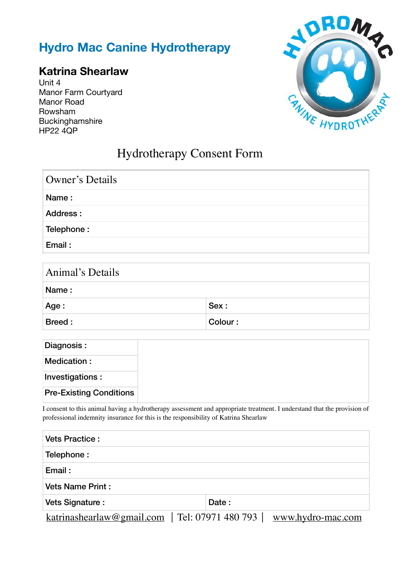## **Hydro Mac Canine Hydrotherapy**

## **Katrina Shearlaw**

Unit 4 Manor Farm Courtyard Manor Road Rowsham Buckinghamshire HP22 4QP



## Hydrotherapy Consent Form

| Owner's Details |  |
|-----------------|--|
| Name:           |  |
| Address:        |  |
| Telephone:      |  |
| Email:          |  |

| Animal's Details |         |  |  |  |  |
|------------------|---------|--|--|--|--|
| Name:            |         |  |  |  |  |
| Age :            | Sex:    |  |  |  |  |
| Breed:           | Colour: |  |  |  |  |

| Diagnosis :                    |
|--------------------------------|
| Medication:                    |
| Investigations:                |
| <b>Pre-Existing Conditions</b> |

I consent to this animal having a hydrotherapy assessment and appropriate treatment. I understand that the provision of professional indemnity insurance for this is the responsibility of Katrina Shearlaw

| <b>Vets Practice:</b>                            |       |                   |
|--------------------------------------------------|-------|-------------------|
| Telephone:                                       |       |                   |
| Email:                                           |       |                   |
| <b>Vets Name Print:</b>                          |       |                   |
| Vets Signature :                                 | Date: |                   |
| $katrinashearlaw@gmail.com$   Tel: 07971 480 793 |       | www.hydro-mac.com |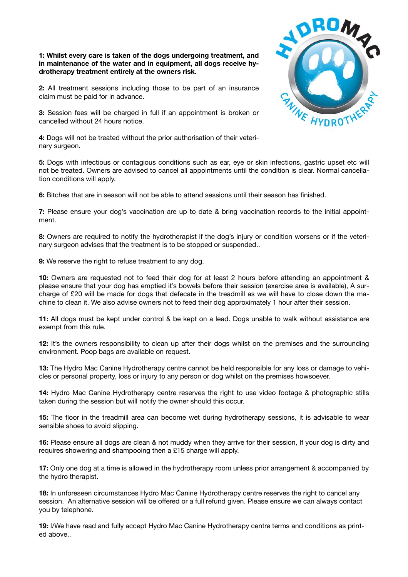**1: Whilst every care is taken of the dogs undergoing treatment, and in maintenance of the water and in equipment, all dogs receive hydrotherapy treatment entirely at the owners risk.** 

**2:** All treatment sessions including those to be part of an insurance claim must be paid for in advance.

**3:** Session fees will be charged in full if an appointment is broken or cancelled without 24 hours notice.

**4:** Dogs will not be treated without the prior authorisation of their veterinary surgeon.

**5:** Dogs with infectious or contagious conditions such as ear, eye or skin infections, gastric upset etc will not be treated. Owners are advised to cancel all appointments until the condition is clear. Normal cancellation conditions will apply.

**6:** Bitches that are in season will not be able to attend sessions until their season has finished.

**7:** Please ensure your dog's vaccination are up to date & bring vaccination records to the initial appointment.

**8:** Owners are required to notify the hydrotherapist if the dog's injury or condition worsens or if the veterinary surgeon advises that the treatment is to be stopped or suspended..

**9:** We reserve the right to refuse treatment to any dog.

**10:** Owners are requested not to feed their dog for at least 2 hours before attending an appointment & please ensure that your dog has emptied it's bowels before their session (exercise area is available), A surcharge of £20 will be made for dogs that defecate in the treadmill as we will have to close down the machine to clean it. We also advise owners not to feed their dog approximately 1 hour after their session.

**11:** All dogs must be kept under control & be kept on a lead. Dogs unable to walk without assistance are exempt from this rule.

**12:** It's the owners responsibility to clean up after their dogs whilst on the premises and the surrounding environment. Poop bags are available on request.

**13:** The Hydro Mac Canine Hydrotherapy centre cannot be held responsible for any loss or damage to vehicles or personal property, loss or injury to any person or dog whilst on the premises howsoever.

**14:** Hydro Mac Canine Hydrotherapy centre reserves the right to use video footage & photographic stills taken during the session but will notify the owner should this occur.

**15:** The floor in the treadmill area can become wet during hydrotherapy sessions, it is advisable to wear sensible shoes to avoid slipping.

**16:** Please ensure all dogs are clean & not muddy when they arrive for their session, If your dog is dirty and requires showering and shampooing then a £15 charge will apply.

**17:** Only one dog at a time is allowed in the hydrotherapy room unless prior arrangement & accompanied by the hydro therapist.

**18:** In unforeseen circumstances Hydro Mac Canine Hydrotherapy centre reserves the right to cancel any session. An alternative session will be offered or a full refund given. Please ensure we can always contact you by telephone.

**19:** I/We have read and fully accept Hydro Mac Canine Hydrotherapy centre terms and conditions as printed above..